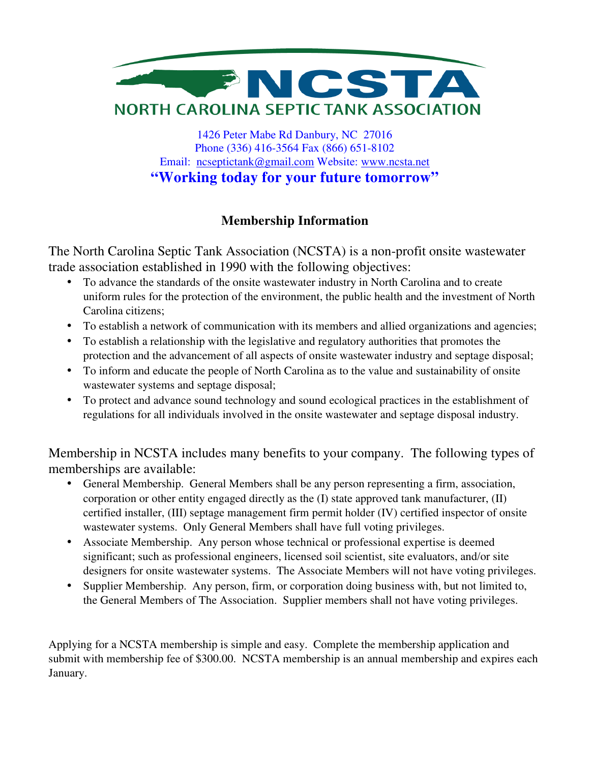

1426 Peter Mabe Rd Danbury, NC 27016 Phone (336) 416-3564 Fax (866) 651-8102 Email: ncseptictank@gmail.com Website: www.ncsta.net **"Working today for your future tomorrow"** 

# **Membership Information**

The North Carolina Septic Tank Association (NCSTA) is a non-profit onsite wastewater trade association established in 1990 with the following objectives:

- To advance the standards of the onsite wastewater industry in North Carolina and to create uniform rules for the protection of the environment, the public health and the investment of North Carolina citizens;
- To establish a network of communication with its members and allied organizations and agencies;
- To establish a relationship with the legislative and regulatory authorities that promotes the protection and the advancement of all aspects of onsite wastewater industry and septage disposal;
- To inform and educate the people of North Carolina as to the value and sustainability of onsite wastewater systems and septage disposal;
- To protect and advance sound technology and sound ecological practices in the establishment of regulations for all individuals involved in the onsite wastewater and septage disposal industry.

Membership in NCSTA includes many benefits to your company. The following types of memberships are available:

- General Membership. General Members shall be any person representing a firm, association, corporation or other entity engaged directly as the (I) state approved tank manufacturer, (II) certified installer, (III) septage management firm permit holder (IV) certified inspector of onsite wastewater systems. Only General Members shall have full voting privileges.
- Associate Membership. Any person whose technical or professional expertise is deemed significant; such as professional engineers, licensed soil scientist, site evaluators, and/or site designers for onsite wastewater systems. The Associate Members will not have voting privileges.
- Supplier Membership. Any person, firm, or corporation doing business with, but not limited to, the General Members of The Association. Supplier members shall not have voting privileges.

Applying for a NCSTA membership is simple and easy. Complete the membership application and submit with membership fee of \$300.00. NCSTA membership is an annual membership and expires each January.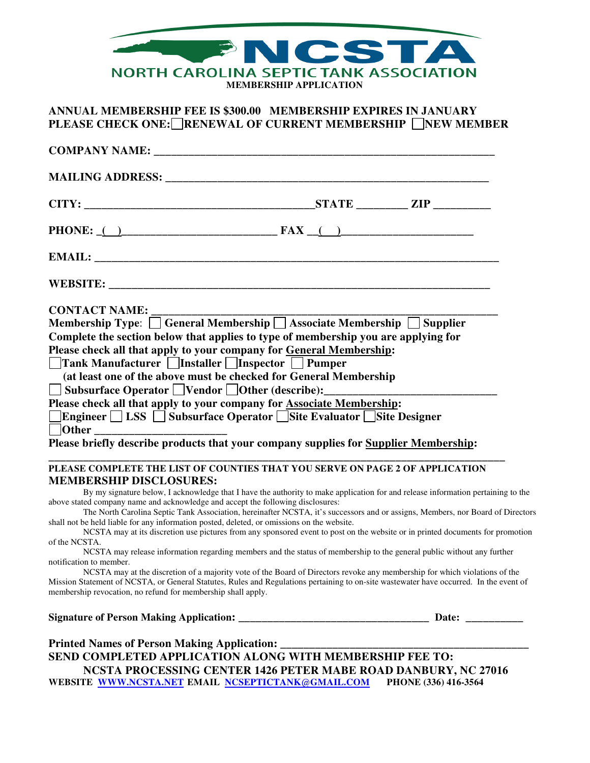

### **ANNUAL MEMBERSHIP FEE IS \$300.00 MEMBERSHIP EXPIRES IN JANUARY PLEASE CHECK ONE:** RENEWAL OF CURRENT MEMBERSHIP NEW MEMBER

| <b>COMPANY NAME:</b> The state of the state of the state of the state of the state of the state of the state of the state of the state of the state of the state of the state of the state of the state of the state of the state o                                                                                                                                                                                                                                                                                                                                                                                             |                                                                                                                                                                                                                                                                    |                                                                                                                                |
|---------------------------------------------------------------------------------------------------------------------------------------------------------------------------------------------------------------------------------------------------------------------------------------------------------------------------------------------------------------------------------------------------------------------------------------------------------------------------------------------------------------------------------------------------------------------------------------------------------------------------------|--------------------------------------------------------------------------------------------------------------------------------------------------------------------------------------------------------------------------------------------------------------------|--------------------------------------------------------------------------------------------------------------------------------|
|                                                                                                                                                                                                                                                                                                                                                                                                                                                                                                                                                                                                                                 |                                                                                                                                                                                                                                                                    |                                                                                                                                |
|                                                                                                                                                                                                                                                                                                                                                                                                                                                                                                                                                                                                                                 |                                                                                                                                                                                                                                                                    |                                                                                                                                |
| PHONE: $( )$                                                                                                                                                                                                                                                                                                                                                                                                                                                                                                                                                                                                                    |                                                                                                                                                                                                                                                                    |                                                                                                                                |
|                                                                                                                                                                                                                                                                                                                                                                                                                                                                                                                                                                                                                                 |                                                                                                                                                                                                                                                                    |                                                                                                                                |
|                                                                                                                                                                                                                                                                                                                                                                                                                                                                                                                                                                                                                                 |                                                                                                                                                                                                                                                                    |                                                                                                                                |
| <b>CONTACT NAME:</b><br>Membership Type: $\sqrt{\frac{1}{1-\frac{1}{2}}\left(\frac{1}{2}-\frac{1}{2}\right)}$ Associate Membership $\sqrt{\frac{1}{2}-\frac{1}{2}}$ Supplier<br>Complete the section below that applies to type of membership you are applying for<br>Please check all that apply to your company for General Membership:<br>□Tank Manufacturer □Installer □Inspector □ Pumper<br>(at least one of the above must be checked for General Membership<br><b><u>  Subsurface Operator</u></b>   Vendor   Other (describe): ______<br>Please check all that apply to your company for <b>Associate Membership</b> : |                                                                                                                                                                                                                                                                    |                                                                                                                                |
| ]Engineer □ LSS □ Subsurface Operator □ Site Evaluator □ Site Designer<br>Please briefly describe products that your company supplies for Supplier Membership:<br>PLEASE COMPLETE THE LIST OF COUNTIES THAT YOU SERVE ON PAGE 2 OF APPLICATION                                                                                                                                                                                                                                                                                                                                                                                  |                                                                                                                                                                                                                                                                    |                                                                                                                                |
| <b>MEMBERSHIP DISCLOSURES:</b><br>above stated company name and acknowledge and accept the following disclosures:<br>shall not be held liable for any information posted, deleted, or omissions on the website.                                                                                                                                                                                                                                                                                                                                                                                                                 | By my signature below, I acknowledge that I have the authority to make application for and release information pertaining to the<br>NCSTA may at its discretion use pictures from any sponsored event to post on the website or in printed documents for promotion | The North Carolina Septic Tank Association, hereinafter NCSTA, it's successors and or assigns, Members, nor Board of Directors |
| of the NCSTA.<br>notification to member.<br>Mission Statement of NCSTA, or General Statutes, Rules and Regulations pertaining to on-site wastewater have occurred. In the event of<br>membership revocation, no refund for membership shall apply.                                                                                                                                                                                                                                                                                                                                                                              | NCSTA may release information regarding members and the status of membership to the general public without any further<br>NCSTA may at the discretion of a majority vote of the Board of Directors revoke any membership for which violations of the               |                                                                                                                                |
|                                                                                                                                                                                                                                                                                                                                                                                                                                                                                                                                                                                                                                 |                                                                                                                                                                                                                                                                    |                                                                                                                                |
| Printed Names of Person Making Application: ________<br>SEND COMPLETED APPLICATION ALONG WITH MEMBERSHIP FEE TO:<br>WEBSITE WWW.NCSTA.NET EMAIL NCSEPTICTANK@GMAIL.COM                                                                                                                                                                                                                                                                                                                                                                                                                                                          | NCSTA PROCESSING CENTER 1426 PETER MABE ROAD DANBURY, NC 27016                                                                                                                                                                                                     | PHONE (336) 416-3564                                                                                                           |